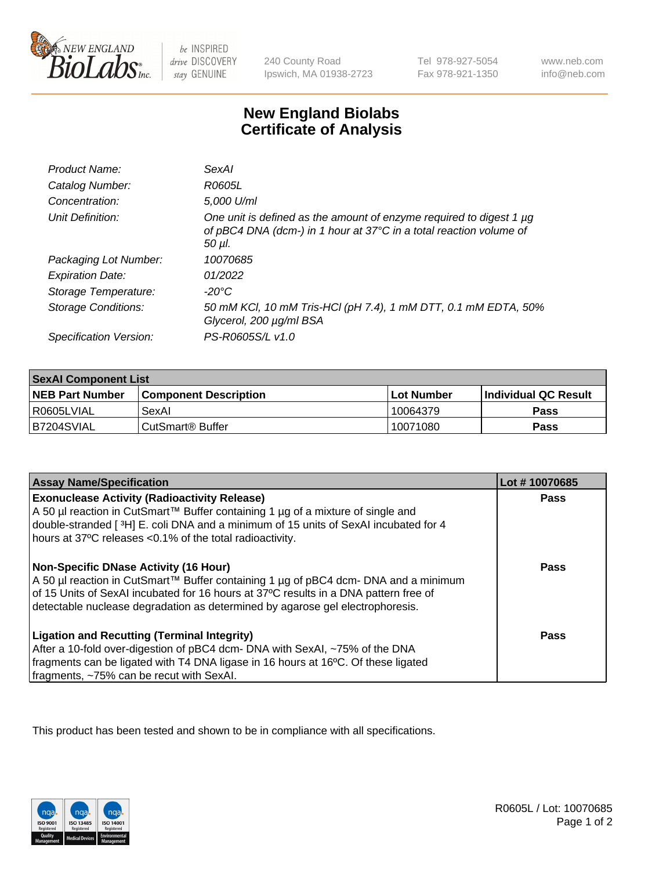

be INSPIRED drive DISCOVERY stay GENUINE

240 County Road Ipswich, MA 01938-2723

Tel 978-927-5054 Fax 978-921-1350

www.neb.com info@neb.com

## **New England Biolabs Certificate of Analysis**

| Product Name:           | SexAl                                                                                                                                               |
|-------------------------|-----------------------------------------------------------------------------------------------------------------------------------------------------|
| Catalog Number:         | R0605L                                                                                                                                              |
| Concentration:          | 5,000 U/ml                                                                                                                                          |
| Unit Definition:        | One unit is defined as the amount of enzyme required to digest 1 µg<br>of pBC4 DNA (dcm-) in 1 hour at 37°C in a total reaction volume of<br>50 µI. |
| Packaging Lot Number:   | 10070685                                                                                                                                            |
| <b>Expiration Date:</b> | 01/2022                                                                                                                                             |
| Storage Temperature:    | -20°C                                                                                                                                               |
| Storage Conditions:     | 50 mM KCI, 10 mM Tris-HCI (pH 7.4), 1 mM DTT, 0.1 mM EDTA, 50%<br>Glycerol, 200 µg/ml BSA                                                           |
| Specification Version:  | PS-R0605S/L v1.0                                                                                                                                    |

| <b>SexAl Component List</b> |                              |            |                             |  |
|-----------------------------|------------------------------|------------|-----------------------------|--|
| <b>NEB Part Number</b>      | <b>Component Description</b> | Lot Number | <b>Individual QC Result</b> |  |
| I R0605LVIAL                | SexAl                        | 10064379   | <b>Pass</b>                 |  |
| IB7204SVIAL                 | l CutSmart® Buffer_          | 10071080   | <b>Pass</b>                 |  |

| <b>Assay Name/Specification</b>                                                                                                                                                                                                                                                                         | Lot #10070685 |
|---------------------------------------------------------------------------------------------------------------------------------------------------------------------------------------------------------------------------------------------------------------------------------------------------------|---------------|
| <b>Exonuclease Activity (Radioactivity Release)</b><br>A 50 µl reaction in CutSmart™ Buffer containing 1 µg of a mixture of single and<br>double-stranded [3H] E. coli DNA and a minimum of 15 units of SexAI incubated for 4<br>hours at 37°C releases <0.1% of the total radioactivity.               | Pass          |
| Non-Specific DNase Activity (16 Hour)<br>  A 50 µl reaction in CutSmart™ Buffer containing 1 µg of pBC4 dcm- DNA and a minimum<br>of 15 Units of SexAI incubated for 16 hours at 37°C results in a DNA pattern free of<br>detectable nuclease degradation as determined by agarose gel electrophoresis. | Pass          |
| <b>Ligation and Recutting (Terminal Integrity)</b><br>After a 10-fold over-digestion of pBC4 dcm- DNA with SexAI, ~75% of the DNA<br>fragments can be ligated with T4 DNA ligase in 16 hours at 16°C. Of these ligated<br>fragments, ~75% can be recut with SexAI.                                      | Pass          |

This product has been tested and shown to be in compliance with all specifications.